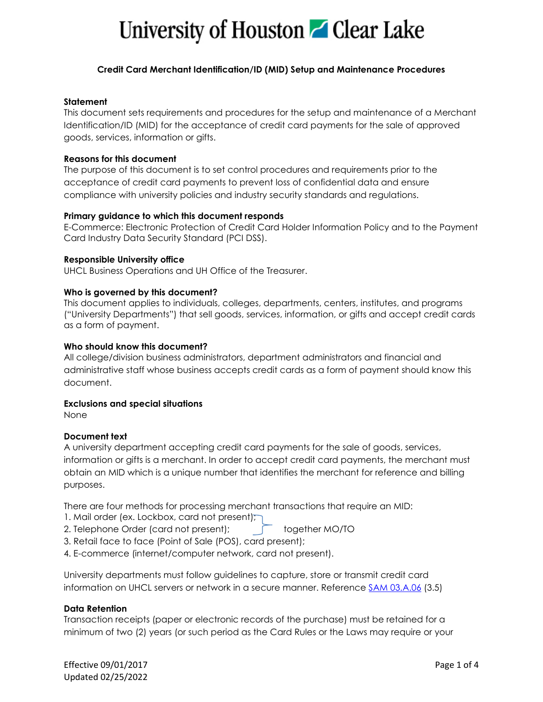# University of Houston **Z** Clear Lake

## **Credit Card Merchant Identification/ID (MID) Setup and Maintenance Procedures**

### **Statement**

This document sets requirements and procedures for the setup and maintenance of a Merchant Identification/ID (MID) for the acceptance of credit card payments for the sale of approved goods, services, information or gifts.

## **Reasons for this document**

The purpose of this document is to set control procedures and requirements prior to the acceptance of credit card payments to prevent loss of confidential data and ensure compliance with university policies and industry security standards and regulations.

# **Primary guidance to which this document responds**

E-Commerce: Electronic Protection of Credit Card Holder Information Policy and to the Payment Card Industry Data Security Standard (PCI DSS).

# **Responsible University office**

UHCL Business Operations and UH Office of the Treasurer.

# **Who is governed by this document?**

This document applies to individuals, colleges, departments, centers, institutes, and programs ("University Departments") that sell goods, services, information, or gifts and accept credit cards as a form of payment.

## **Who should know this document?**

All college/division business administrators, department administrators and financial and administrative staff whose business accepts credit cards as a form of payment should know this document.

### **Exclusions and special situations**

None

### **Document text**

A university department accepting credit card payments for the sale of goods, services, information or gifts is a merchant. In order to accept credit card payments, the merchant must obtain an MID which is a unique number that identifies the merchant for reference and billing purposes.

There are four methods for processing merchant transactions that require an MID:

- 1. Mail order (ex. Lockbox, card not present);
- 2. Telephone Order (card not present); fogether MO/TO
- 3. Retail face to face (Point of Sale (POS), card present);
- 4. E-commerce (internet/computer network, card not present).

University departments must follow guidelines to capture, store or transmit credit card information on UHCL servers or network in a secure manner. Reference [SAM 03.A.06](https://uhsystem.edu/compliance-ethics/_docs/sam/03/3a6.pdf) (3.5)

### **Data Retention**

Transaction receipts (paper or electronic records of the purchase) must be retained for a minimum of two (2) years (or such period as the Card Rules or the Laws may require or your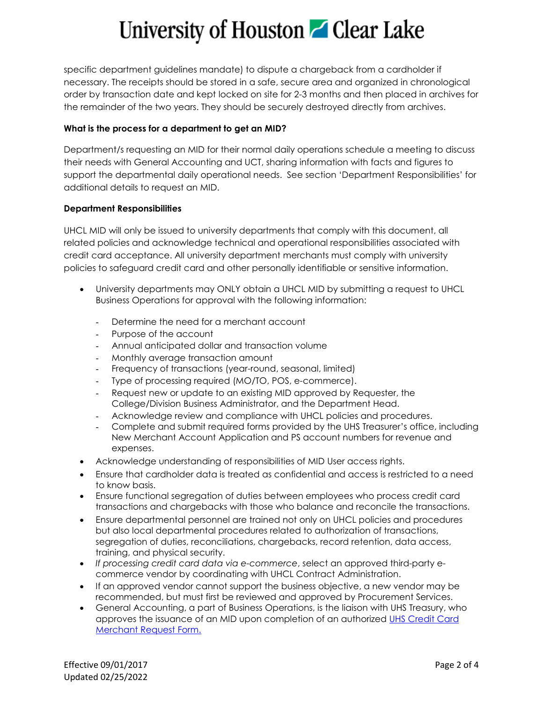# University of Houston **C** Clear Lake

specific department guidelines mandate) to dispute a chargeback from a cardholder if necessary. The receipts should be stored in a safe, secure area and organized in chronological order by transaction date and kept locked on site for 2-3 months and then placed in archives for the remainder of the two years. They should be securely destroyed directly from archives.

# **What is the process for a department to get an MID?**

Department/s requesting an MID for their normal daily operations schedule a meeting to discuss their needs with General Accounting and UCT, sharing information with facts and figures to support the departmental daily operational needs. See section 'Department Responsibilities' for additional details to request an MID.

# **Department Responsibilities**

UHCL MID will only be issued to university departments that comply with this document, all related policies and acknowledge technical and operational responsibilities associated with credit card acceptance. All university department merchants must comply with university policies to safeguard credit card and other personally identifiable or sensitive information.

- University departments may ONLY obtain a UHCL MID by submitting a request to UHCL Business Operations for approval with the following information:
	- Determine the need for a merchant account
	- Purpose of the account
	- Annual anticipated dollar and transaction volume
	- Monthly average transaction amount
	- Frequency of transactions (year-round, seasonal, limited)
	- Type of processing required (MO/TO, POS, e-commerce).
	- Request new or update to an existing MID approved by Requester, the College/Division Business Administrator, and the Department Head.
	- Acknowledge review and compliance with UHCL policies and procedures.
	- Complete and submit required forms provided by the UHS Treasurer's office, including New Merchant Account Application and PS account numbers for revenue and expenses.
- Acknowledge understanding of responsibilities of MID User access rights.
- Ensure that cardholder data is treated as confidential and access is restricted to a need to know basis.
- Ensure functional segregation of duties between employees who process credit card transactions and chargebacks with those who balance and reconcile the transactions.
- Ensure departmental personnel are trained not only on UHCL policies and procedures but also local departmental procedures related to authorization of transactions, segregation of duties, reconciliations, chargebacks, record retention, data access, training, and physical security.
- *If processing credit card data via e-commerce*, select an approved third-party ecommerce vendor by coordinating with UHCL Contract Administration.
- If an approved vendor cannot support the business objective, a new vendor may be recommended, but must first be reviewed and approved by Procurement Services.
- General Accounting, a part of Business Operations, is the liaison with UHS Treasury, who approves the issuance of an MID upon completion of an authorized UHS Credit Card [Merchant Request Form.](http://www.uh.edu/af/universityservices/SurvivalGuide/C/Credit%20Card%20Merchant%20Request%20Form.xls)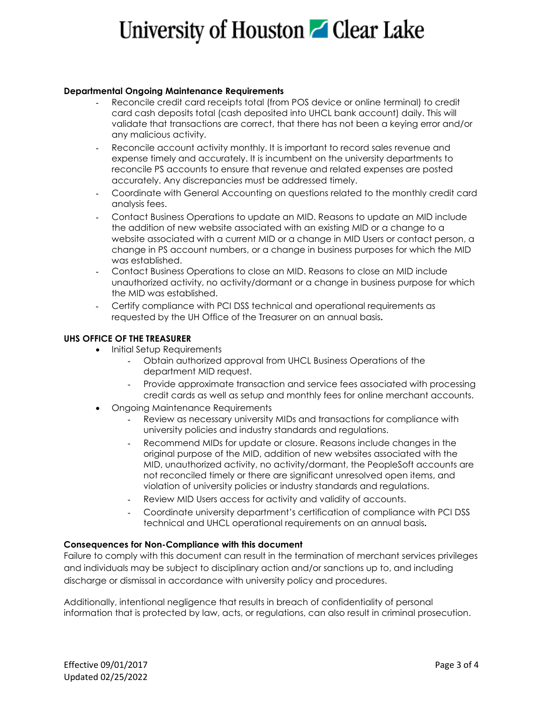# University of Houston **C** Clear Lake

#### **Departmental Ongoing Maintenance Requirements**

- Reconcile credit card receipts total (from POS device or online terminal) to credit card cash deposits total (cash deposited into UHCL bank account) daily. This will validate that transactions are correct, that there has not been a keying error and/or any malicious activity.
- Reconcile account activity monthly. It is important to record sales revenue and expense timely and accurately. It is incumbent on the university departments to reconcile PS accounts to ensure that revenue and related expenses are posted accurately. Any discrepancies must be addressed timely.
- Coordinate with General Accounting on questions related to the monthly credit card analysis fees.
- Contact Business Operations to update an MID. Reasons to update an MID include the addition of new website associated with an existing MID or a change to a website associated with a current MID or a change in MID Users or contact person, a change in PS account numbers, or a change in business purposes for which the MID was established.
- Contact Business Operations to close an MID. Reasons to close an MID include unauthorized activity, no activity/dormant or a change in business purpose for which the MID was established.
- Certify compliance with PCI DSS technical and operational requirements as requested by the UH Office of the Treasurer on an annual basis**.**

#### **UHS OFFICE OF THE TREASURER**

- Initial Setup Requirements
	- Obtain authorized approval from UHCL Business Operations of the department MID request.
	- Provide approximate transaction and service fees associated with processing credit cards as well as setup and monthly fees for online merchant accounts.
- Ongoing Maintenance Requirements
	- Review as necessary university MIDs and transactions for compliance with university policies and industry standards and regulations.
	- Recommend MIDs for update or closure. Reasons include changes in the original purpose of the MID, addition of new websites associated with the MID, unauthorized activity, no activity/dormant, the PeopleSoft accounts are not reconciled timely or there are significant unresolved open items, and violation of university policies or industry standards and regulations.
	- Review MID Users access for activity and validity of accounts.
	- Coordinate university department's certification of compliance with PCI DSS technical and UHCL operational requirements on an annual basis**.**

#### **Consequences for Non-Compliance with this document**

Failure to comply with this document can result in the termination of merchant services privileges and individuals may be subject to disciplinary action and/or sanctions up to, and including discharge or dismissal in accordance with university policy and procedures.

Additionally, intentional negligence that results in breach of confidentiality of personal information that is protected by law, acts, or regulations, can also result in criminal prosecution.